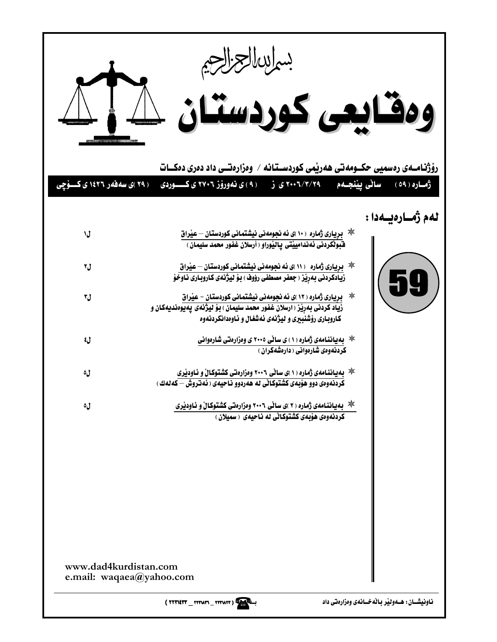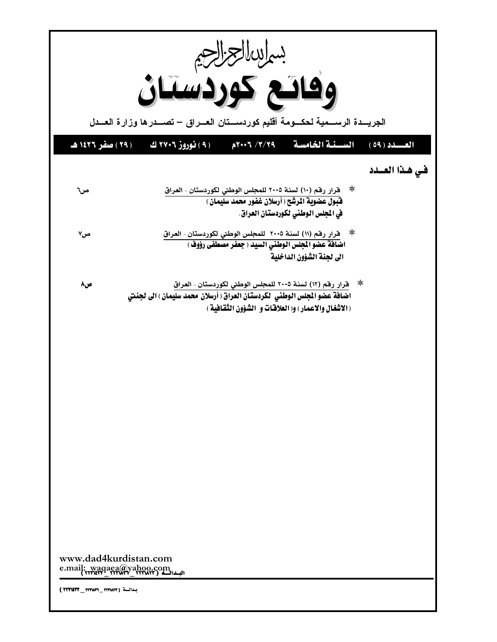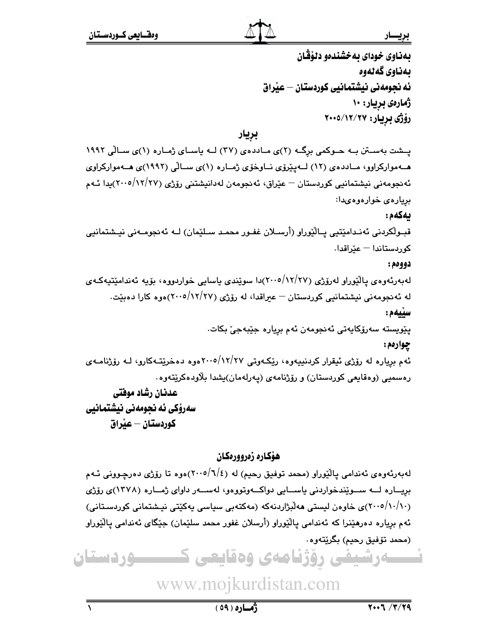بهناوى خوداى بهخشندهو دلۆڤان ىەناوى گەنەوە ئه نجومەنى نيشتمانيي كوردستان — عيْراق ژمارەي بريار: ۱۰ رۆژى بريار: ۲۰۰۵/۱۲/۲۷

بريار

یسشت بهستن به حوکمی برگ (۲)ی ماددهی (۲۷) لـه یاسای ژماره (۱)ی سالی ۱۹۹۲ هـهموارکراوو، مـاددهى (١٢) لـهيێرۆى نـاوخۆى ژمـاره (١)ى سـالْي (١٩٩٢)ى هـهمواركراوى ئەنجومەنى نيشتمانيى كوردستان — عێراق، ئەنجومەن لەدانيشتنى رۆژى (٢٧/٢٧/١٢)يدا ئـﻪم بريارەى خوارەوەىدا: ىەكەم:

قبـولْکردنی ئەنـدامێتیی پـالْێوراو (أرسـلان غفـور محمـد سـلێمان) لــه ئەنجومـەنی نیـشتمانیی كوردستاندا – عيّراقدا.

### دوومم:

لەبەرئەوەي يالێوراو لەرۆژى (١٢/٢٧/ ٢٠٠٥/١٢/مىوێندى ياسايى خواردووە، بۆيە ئەندامێتيەكـەي له ئەنجومەنى نيشتمانيى كوردستان – عيراقدا، لە رۆژى (١٢/٢٧/ ٢٠٠٥) موه كارا دەبيّت. سيبهم: پێويسته سەرۆكايەتى ئەنجومەن ئەم بريارە جێبەجىٚ بكات. چوارمم:

ئهم برياره له رۆژى ئيقرار كردنيپەوه، رێِكـەوتى ١٢/٢٧هوەر دەخرێتـەكارو، لــه رۆژنامــهى رەسمىي (وەقايعى كوردستان) و رۆژنامەي (پەرلەمان)پشدا بلاودەكرێتەوە.

# عدنان رشاد موفتي سەرۆكى ئە نجومەنى نيشتمانيى كوردستان – عنراق

### هۆكارە زەروورەكان

لهبهرئهوهي ئەندامى يالێوراو (محمد توفيق رحيم) له (٢٠٠٥/٦/٤)موه تا رۆژى دەرچـوونى ئـهم بريــاره لـــه ســوێندخواردنى ياســايى دواكــهوتووهو، لهســهر داواى ژمــاره (١٣٧٨)ى رۆژى (۲۰۰۰/۱۰/۱۰)ی خاوەن لیستی مەلبژاردنەکە (مەکتەبی سیاسی پەکێتی نیشتمانی کوردسـتانی) ئهم برياره دەرھێنرا که ئەندامى ياڵێوراو (أرسلان غفور محمد سلێمان) جێگاي ئەندامى ياڵێوراو (محمد تۆفيق رحيم) بگرێتەوه٠

ـــه رشیفی روژنامهی وهقایعی ک ــدوردستان

www.mojkurdistan.com

ۋەسارە (٥٩)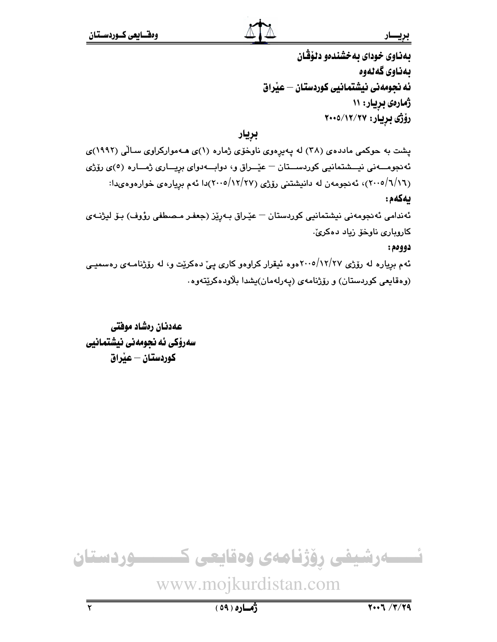بهناوى خوداى بهخشندهو دلۆڤان بەناوى گەلەوە ئه نجومهنی نیشتمانیی کوردستان — عیراق ژمارهی بریار: ۱۱ رۆژى بريار: ٢٠٠٥/١٢/٢٠٠٥

بريار

پشت به حوکمی مادده ی (۳۸) له پهیرِهوی ناوخوی ژماره (۱)ی هـهموارکراوی سـالّی (۱۹۹۲)ی ئەنجومـــەنى نيـــشتمانيى كوردســـتان – عيّــراق و، دوابـــەدواى بريـــارى ژمـــارە (٥)ى رۆژى (۲۰۰۵/٦/۱٦)، ئەنجومەن لە دانيشتني رۆژى (۲۷/۲۷/م۲۰۰)دا ئەم بريارەي خوارەوەيدا: بهكهم: ئەندامی ئەنجومەنی نیشتمانیی كوردستان — عێراق بـەرێز (جعفـر مـصطفى رؤوف) بـۆ لیژنـەی کارویاری ناوخۆ زیاد دەكرىّ. دوومم: ئهم بریاره له رۆژی ۲۰۰/۱۲/۲۷موه ئیقرار کراوهو کاری پیّ دهکریّت و، له رۆژنامـهی رهسمیـی

(وەقايعى كوردستان) و رۆژنامەي (يەرلەمان)يشدا بلاودەكريتەوە.

عهدنان رەشاد موفتى سەرۆكى ئە نجومەنى نيشتمانيى كوردستان – عيْراق

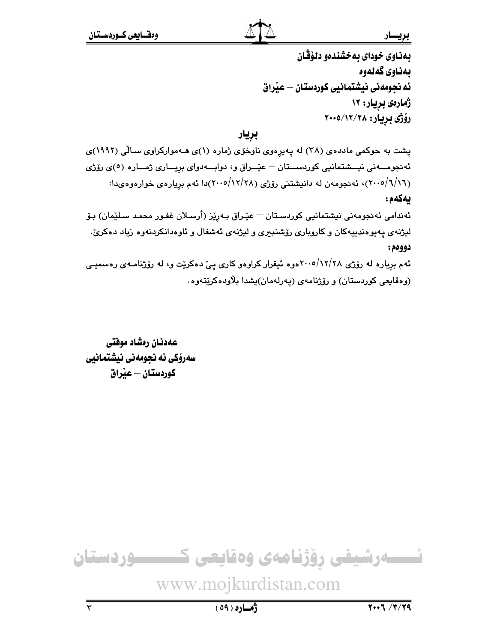بهناوى خوداى بهخشندهو دلؤقان ىمناوى گەنەوە ئه نجومهنی نیشتمانیی کوردستان – عیّراق ژمارهي بريار: ۱۲ رۆژى بريار: ۲۰۰۵/۱۲/۲۸

بريار

پشت به حوکمی مادده ی (۳۸) له پهیرِهوی ناوخوی ژماره (۱)ی هـهموارکراوی سـالّی (۱۹۹۲)ی ئەنجومـــەنى نيـــشتمانيى كوردســـتان – عيّــراق و، دوابـــەدواى بريـــارى ژمـــارە (٥)ى رۆژى (۲۰۰۵/٦/۱٦)، ئەنجومەن لە دانپشتنى رۆژى (۲۸/۲۸/م۲۰۰)دا ئەم بريارەي خوارەوەيدا: بهكهم: ئەندامى ئەنجومەنى نېشتمانيى كوردسىتان — عێـراق بـەرێز (أرسىلان غفـور محمـد سـلێمان) بـۆ لیژنهی پهیوهندییهکان و کاروباری رۆشنبیری و لیژنهی ئهشغال و ئاوهدانکردنهوه زیاد دهکریّ. دوومم: ئهم برياره له رۆژي ۲۰۰۵/۱۲/۲۸موه ئېقرار کراوهو کارې يې دهکريت و، له رۆژنامـهي رهسميـي (وەقايعى كوردستان) و رۆژنامەي (يەرلەمان)يشدا بلاودەكريتەوە.

عهدنان رهشاد موفتى سەرۆكى ئە نجومەنى نيشتمانيى كوردستان – عبّراق

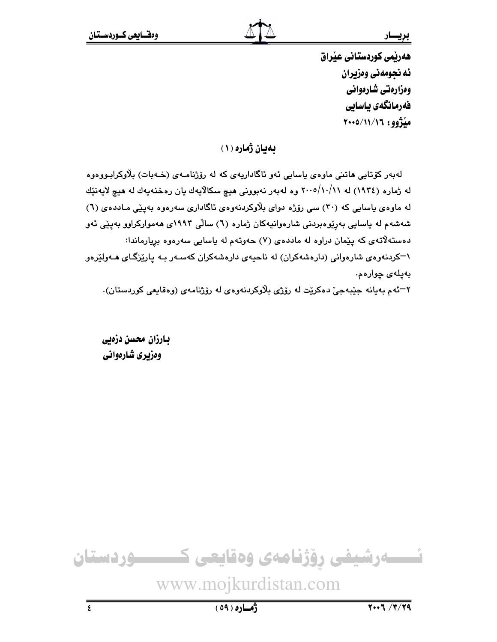هەریمی کوردستانی عیراق ئه نجومهني ومزيران ومزارهتي شارهواني فەرمانگەي ياسايى ميْژوو: ١١/١١/١٩٠٥

بهيان ژماره (١)

لەبەر كۆتايى ھاتنى ماوەي ياسايى ئەو ئاگاداريەي كە لە رۆژنامـەي (خـەبات) بلاوكرابـووەوە له ژماره (١٩٣٤) له ٢٠٠٥/١٠/١١ وه لهبهر نهبووني هيچ سكالايهك يان رهخنهيهك له هيچ لايهنێك له ماوهي باسايي که (۳۰) سي رۆژه دواي بلاوکردنهوهي ئاگاداري سهرهوه بهيٽي مـاددهي (٦) شەشەم لە ياسايى بەرێوەبردنى شارەوانيەكان ژمارە (٦) سالّى ١٩٩٢ى ھەمواركراوو بەيێى ئەو دهستهلاتهی که پیمان دراوه له ماددهی (۷) حهوتهم له پاسایی سهرهوه بریارماندا: ۱–کردنهوهی شارهوانی (دارهشهکران) له ناحیهی دارهشهکران کهسـهر بـه پارێزگـای هـهولێرهو بەيلەى چوارەم.

٢-ئهم بهيانه جێبهجيّ دهكرێت له رۆژي بلاوكردنهوهي له رۆژنامهي (وهقايعي كوردستان).

بارزان محسن دزهيي وهزيري شارهواني

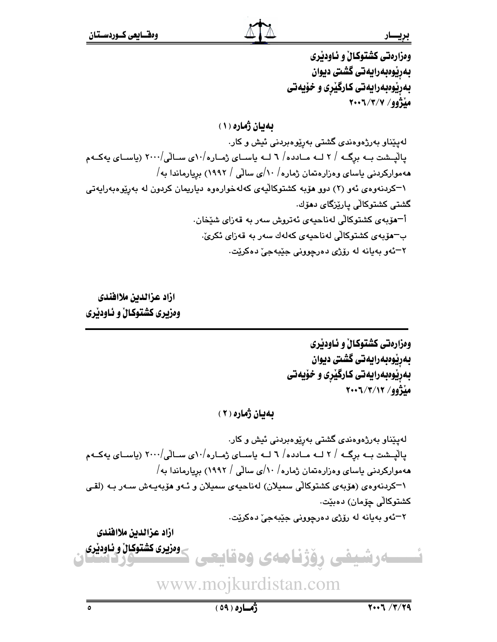ومزارهتي كشتوكال و ئـاودێري بەرپوەبەرايەتى گشتى ديوان بهږیوهبهرایهتی کارگیری و خویهتی مڏژوو/ ۲۰۰٦/۳/۷

بهبان ژماره (١)

لەپێناو بەرژەوەندى گشتى بەرێوەبردنى ئيش و كار. پالْپشت بـه برگـه / ۲ لـه مـادده/ ٦ لـه ياسـاى ژمـاره/٥٠ي سـالّى/٢٠٠٠ (ياسـاى يهكـهم ههموارکردنی یاسای وهزارهتمان ژماره $\langle\cdot/\rangle$ ی سالّی / ۱۹۹۲) بریارماندا به $\langle$ ۱–کردنهوهی ئهو (۲) دوو هۆبه کشتوکالیهی کهلهخوارهوه دیاریمان کردون له بهریوهبهرایهتی گشتی کشتوکالّی پارێزگای دمۆك. أ־مۆبەي كشتوكالْي لەناحيەي ئەتروش سەر بە قەزاي شێخان. ب–هۆبەي كشتوكالى لەناحيەي كەلەك سەر بە قەزاي ئكرىّ. ٢-ئەو بەيانە لە رۆژى دەرجوونى جێبەجىٰ دەكرێت.

ازاد عزالدين ملاافندى وهزيري كشتوكال و ئـاودێري

> ومزارمتي كشتوكال و ئـاودێري بەرپوەبەرايەتى گشتى ديوان بهریوهبهرایهتی کارگیری و خویهتی مڏژوو/ ٢٠٠٦/٣/١٢

بهيان ژماره ( ۲ )

لەپێناو بەرژەوەندى گشتى بەرێوەبردنى ئيش و كار. یالْیـشت بـه برگـه / ۲ لــه مـادده/ ٦ لــه یاسـای ژمـاره/۵۰ ی سـالی/۲۰۰۰ (یاسـای یهکـهم ههموارکردنی یاسای وهزارهتمان ژماره / ۱۰/ی سالی / ۱۹۹۲) بریارماندا به/ ۱–کردنهوهی (هۆبەی کشتوکالی سمیلان) لەناحیەی سمیلان و ئـهو هۆبەیـهش سـەر بـه (لقـی کشتوکاڵی چۆمان) دەبێت.

٢–ئەو بەيانە لە رۆژى دەرچوونى جێبەجىؒ دەكرێت.

ازاد عزالدين ملاافلدى وهزيري كشتوكيال و ئـاودێري ـەرشيفى رۆژنامەى وەقايع

www.mojkurdistan.com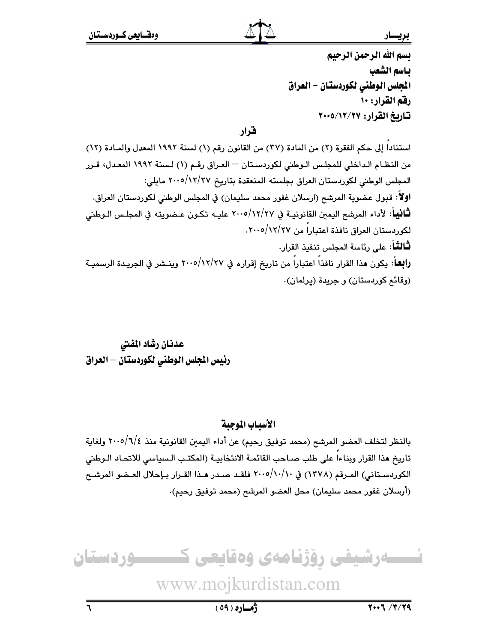بسم الله الرحمن الرحيم ياسم الشعب المجلس الوطني لكوردستان – العراق رفق القرار: ١٠ تاريخ القرار: ٢٧/١٢/٢٠٠٥

## قرار

استنادا إلى حكم الفقرة (٢) من المادة (٣٧) من القانون رقم (١) لسنة ١٩٩٢ المعدل والمادة (١٢) من النظـام الـداخلي للمجلـس الـوطني لكوردسـتان — العـراق رقـم (١) لـسنة ١٩٩٢ المعـدل، قـرر المجلس الوطني لكوردستان العراق بجلسته المنعقدة بتاريخ ١٢/٢٧/٢٧ مايلي: اولاً: قبول عضوية المرشح (ارسلان غفور محمد سليمان) في المجلس الوطني لكوردستان العراق. **ثْـانيـا**ً: لأداء المرشح اليمبن القانونيــة في ٢٠٠٥/١٢/٢٧ عليــه تكـون عـضويته في المجلـس الـوطني لكوردستان العراق نافذة اعتباراً من ١٢/٢٧/٢٧. **ثَـالثَـا**ً: على رئاسة المجلس تنفيذ القرار. رابِعاً: يكون مذا القرار نافذا اعتباراً من تاريخ إقراره في ٢٠٠٥/١٢/٢٧ وينـشر في الجريـدة الرسميـة (وقائم کوردستان) و جریدة (پرلمان).

عدنان رشاد المفتى رئيس الجلس الوطني لكوردستان – العراق

### الأسياب الموجية

بالنظر لتخلف العضو المرشح (محمد توفيق رحيم) عن أداء اليمين القانونية منذ ٢٠٠٥/٦/٤ ولغاية تاريخ هذا القرار وبناءا على طلب صـاحب القائمـة الانتخابيـة (المكتـب الـسياسي للاتحـاد الـوطني الكوردسـتاني) المـرقم (١٣٧٨) في ٢٠٠٥/١٠/١٠ فلقـد صـدر هـذا القـرار بـإحلال العـضو المرشـح (أرسلان غفور محمد سليمان) محل العضو المرشح (محمد توفيق رحيم).



www.mojkurdistan.com

ژماره (٥٩)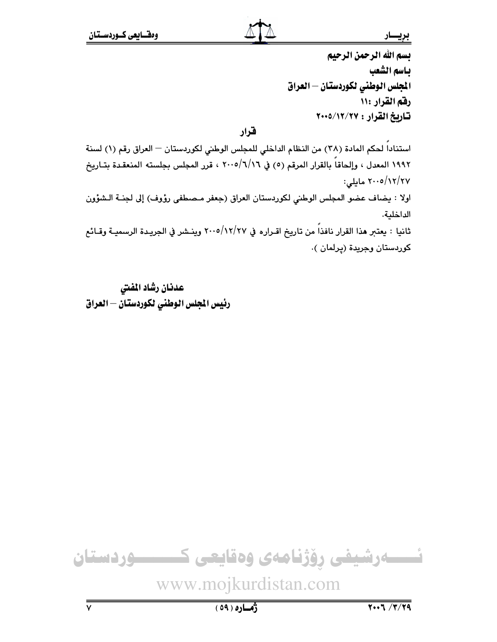يسم الله الرحمن الرحيم باسم الشعب المجلس الوطنى لكوردستان — العراق رفقم القرار ١١: تاريخ القرار : ٢٧/١٢/٢٠٠٥

قرار

استناداً لحكم المادة (٣٨) من النظام الداخلي للمجلس الوطني لكوردستان – العراق رقم (١) لسنة ١٩٩٢ المعدل ، وإلحاقاً بالقرار المرقم (٥) في ٢٠٠٥/٦/١٦ ، قرر المجلس بجلسته المنعقدة بتـاريخ ۲۰۰۵/۱۲/۲۷ مایلی: اولا : يضاف عضو المجلس الوطني لكوردستان العراق (جعفر مـصطفى رؤوف) إلى لجنـة الـشؤون الداخلية. ثانيا : يعتبر هذا القرار نافذاً من تاريخ اقـراره في ١٢/٢٧/٥/١٢/ وينـشر في الجريـدة الرسميـة وقـائـع كوردستان وجريدة (پرلمان ).

عدنان رشاد المفتى رئيس المجلس الوطنى لكوردستان — العراق